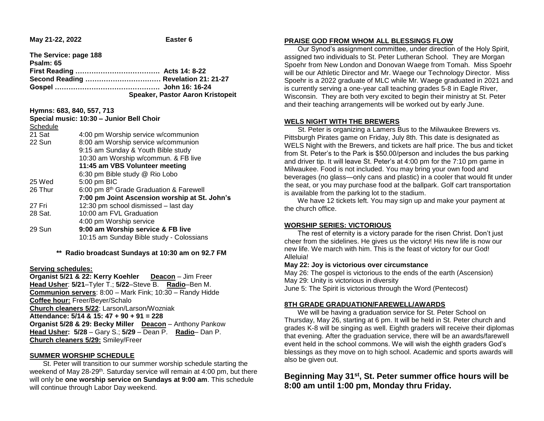**May 21-22, 2022 Easter 6** 

| The Service: page 188 |                                  |
|-----------------------|----------------------------------|
| Psalm: 65             |                                  |
|                       |                                  |
|                       |                                  |
|                       |                                  |
|                       | Speaker, Pastor Aaron Kristopeit |

**Hymns: 683, 840, 557, 713**

| Special music: 10:30 - Junior Bell Choir |                                                     |
|------------------------------------------|-----------------------------------------------------|
| Schedule                                 |                                                     |
| 21 Sat                                   | 4:00 pm Worship service w/communion                 |
| 22 Sun                                   | 8:00 am Worship service w/communion                 |
|                                          | 9:15 am Sunday & Youth Bible study                  |
|                                          | 10:30 am Worship w/commun. & FB live                |
| 11:45 am VBS Volunteer meeting           |                                                     |
|                                          | 6:30 pm Bible study @ Rio Lobo                      |
| 25 Wed                                   | 5:00 pm BIC                                         |
| 26 Thur                                  | 6:00 pm 8 <sup>th</sup> Grade Graduation & Farewell |
|                                          | 7:00 pm Joint Ascension worship at St. John's       |
| 27 Fri                                   | 12:30 pm school dismissed - last day                |
| 28 Sat.                                  | 10:00 am FVL Graduation                             |
|                                          | 4:00 pm Worship service                             |
| 29 Sun                                   | 9:00 am Worship service & FB live                   |
|                                          | 10:15 am Sunday Bible study - Colossians            |
|                                          |                                                     |

**\*\* Radio broadcast Sundays at 10:30 am on 92.7 FM**

### **Serving schedules:**

**Organist 5/21 & 22: Kerry Koehler Deacon** – Jim Freer **Head Usher**: **5/21**–Tyler T.; **5/22**–Steve B. **Radio**–Ben M. **Communion servers**: 8:00 – Mark Fink; 10:30 – Randy Hidde **Coffee hour:** Freer/Beyer/Schalo **Church cleaners 5/22**: Larson/Larson/Wozniak **Attendance: 5/14 & 15: 47 + 90 + 91 = 228 Organist 5/28 & 29: Becky Miller Deacon** – Anthony Pankow **Head Usher: 5/28** – Gary S.; **5/29** – Dean P. **Radio**– Dan P. **Church cleaners 5/29:** Smiley/Freer

### **SUMMER WORSHIP SCHEDULE**

 St. Peter will transition to our summer worship schedule starting the weekend of May 28-29<sup>th</sup>. Saturday service will remain at 4:00 pm, but there will only be **one worship service on Sundays at 9:00 am**. This schedule will continue through Labor Day weekend.

### **PRAISE GOD FROM WHOM ALL BLESSINGS FLOW**

 Our Synod's assignment committee, under direction of the Holy Spirit, assigned two individuals to St. Peter Lutheran School. They are Morgan Spoehr from New London and Donovan Waege from Tomah. Miss Spoehr will be our Athletic Director and Mr. Waege our Technology Director. Miss Spoehr is a 2022 graduate of MLC while Mr. Waege graduated in 2021 and is currently serving a one-year call teaching grades 5-8 in Eagle River, Wisconsin. They are both very excited to begin their ministry at St. Peter and their teaching arrangements will be worked out by early June.

### **WELS NIGHT WITH THE BREWERS**

 St. Peter is organizing a Lamers Bus to the Milwaukee Brewers vs. Pittsburgh Pirates game on Friday, July 8th. This date is designated as WELS Night with the Brewers, and tickets are half price. The bus and ticket from St. Peter's to the Park is \$50.00/person and includes the bus parking and driver tip. It will leave St. Peter's at 4:00 pm for the 7:10 pm game in Milwaukee. Food is not included. You may bring your own food and beverages (no glass—only cans and plastic) in a cooler that would fit under the seat, or you may purchase food at the ballpark. Golf cart transportation is available from the parking lot to the stadium.

 We have 12 tickets left. You may sign up and make your payment at the church office.

# **WORSHIP SERIES: VICTORIOUS**

 The rest of eternity is a victory parade for the risen Christ. Don't just cheer from the sidelines. He gives us the victory! His new life is now our new life. We march with him. This is the feast of victory for our God! Alleluia!

### **May 22: Joy is victorious over circumstance**

May 26: The gospel is victorious to the ends of the earth (Ascension) May 29: Unity is victorious in diversity June 5: The Spirit is victorious through the Word (Pentecost)

# **8TH GRADE GRADUATION/FAREWELL/AWARDS**

 We will be having a graduation service for St. Peter School on Thursday, May 26, starting at 6 pm. It will be held in St. Peter church and grades K-8 will be singing as well. Eighth graders will receive their diplomas that evening. After the graduation service, there will be an awards/farewell event held in the school commons. We will wish the eighth graders God's blessings as they move on to high school. Academic and sports awards will also be given out.

# **Beginning May 31st, St. Peter summer office hours will be 8:00 am until 1:00 pm, Monday thru Friday.**